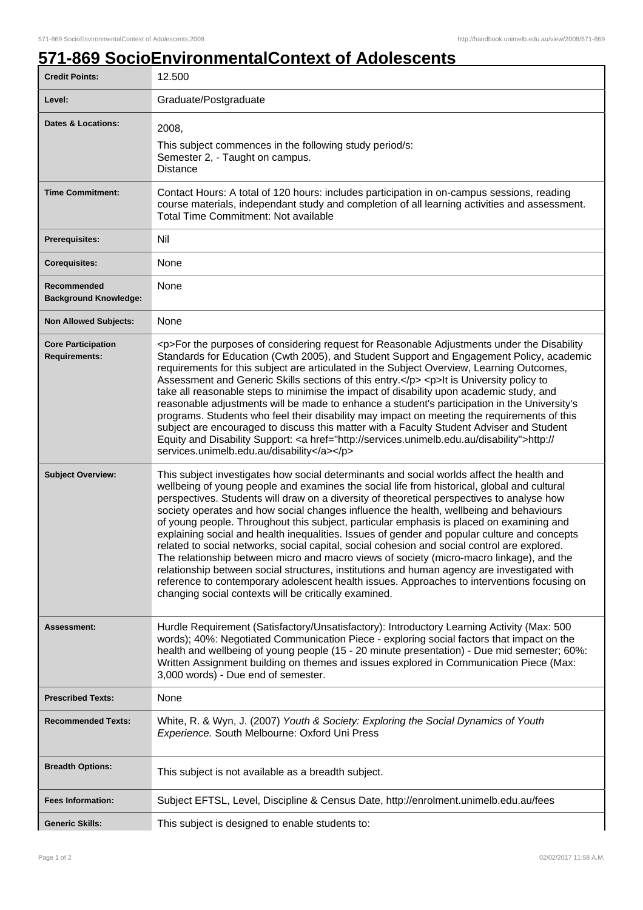7

## **571-869 SocioEnvironmentalContext of Adolescents**

| <b>Credit Points:</b>                             | 12.500                                                                                                                                                                                                                                                                                                                                                                                                                                                                                                                                                                                                                                                                                                                                                                                                                                                                                                                                                                                                                          |
|---------------------------------------------------|---------------------------------------------------------------------------------------------------------------------------------------------------------------------------------------------------------------------------------------------------------------------------------------------------------------------------------------------------------------------------------------------------------------------------------------------------------------------------------------------------------------------------------------------------------------------------------------------------------------------------------------------------------------------------------------------------------------------------------------------------------------------------------------------------------------------------------------------------------------------------------------------------------------------------------------------------------------------------------------------------------------------------------|
| Level:                                            | Graduate/Postgraduate                                                                                                                                                                                                                                                                                                                                                                                                                                                                                                                                                                                                                                                                                                                                                                                                                                                                                                                                                                                                           |
| Dates & Locations:                                | 2008,<br>This subject commences in the following study period/s:<br>Semester 2, - Taught on campus.<br><b>Distance</b>                                                                                                                                                                                                                                                                                                                                                                                                                                                                                                                                                                                                                                                                                                                                                                                                                                                                                                          |
| <b>Time Commitment:</b>                           | Contact Hours: A total of 120 hours: includes participation in on-campus sessions, reading<br>course materials, independant study and completion of all learning activities and assessment.<br><b>Total Time Commitment: Not available</b>                                                                                                                                                                                                                                                                                                                                                                                                                                                                                                                                                                                                                                                                                                                                                                                      |
| <b>Prerequisites:</b>                             | Nil                                                                                                                                                                                                                                                                                                                                                                                                                                                                                                                                                                                                                                                                                                                                                                                                                                                                                                                                                                                                                             |
| <b>Corequisites:</b>                              | None                                                                                                                                                                                                                                                                                                                                                                                                                                                                                                                                                                                                                                                                                                                                                                                                                                                                                                                                                                                                                            |
| Recommended<br><b>Background Knowledge:</b>       | None                                                                                                                                                                                                                                                                                                                                                                                                                                                                                                                                                                                                                                                                                                                                                                                                                                                                                                                                                                                                                            |
| <b>Non Allowed Subjects:</b>                      | None                                                                                                                                                                                                                                                                                                                                                                                                                                                                                                                                                                                                                                                                                                                                                                                                                                                                                                                                                                                                                            |
| <b>Core Participation</b><br><b>Requirements:</b> | <p>For the purposes of considering request for Reasonable Adjustments under the Disability<br/>Standards for Education (Cwth 2005), and Student Support and Engagement Policy, academic<br/>requirements for this subject are articulated in the Subject Overview, Learning Outcomes,<br/>Assessment and Generic Skills sections of this entry.</p> <p>lt is University policy to<br/>take all reasonable steps to minimise the impact of disability upon academic study, and<br/>reasonable adjustments will be made to enhance a student's participation in the University's<br/>programs. Students who feel their disability may impact on meeting the requirements of this<br/>subject are encouraged to discuss this matter with a Faculty Student Adviser and Student<br/>Equity and Disability Support: &lt; a href="http://services.unimelb.edu.au/disability"&gt;http://<br/>services.unimelb.edu.au/disability</p>                                                                                                    |
| <b>Subject Overview:</b>                          | This subject investigates how social determinants and social worlds affect the health and<br>wellbeing of young people and examines the social life from historical, global and cultural<br>perspectives. Students will draw on a diversity of theoretical perspectives to analyse how<br>society operates and how social changes influence the health, wellbeing and behaviours<br>of young people. Throughout this subject, particular emphasis is placed on examining and<br>explaining social and health inequalities. Issues of gender and popular culture and concepts<br>related to social networks, social capital, social cohesion and social control are explored.<br>The relationship between micro and macro views of society (micro-macro linkage), and the<br>relationship between social structures, institutions and human agency are investigated with<br>reference to contemporary adolescent health issues. Approaches to interventions focusing on<br>changing social contexts will be critically examined. |
| Assessment:                                       | Hurdle Requirement (Satisfactory/Unsatisfactory): Introductory Learning Activity (Max: 500<br>words); 40%: Negotiated Communication Piece - exploring social factors that impact on the<br>health and wellbeing of young people (15 - 20 minute presentation) - Due mid semester; 60%:<br>Written Assignment building on themes and issues explored in Communication Piece (Max:<br>3,000 words) - Due end of semester.                                                                                                                                                                                                                                                                                                                                                                                                                                                                                                                                                                                                         |
| <b>Prescribed Texts:</b>                          | None                                                                                                                                                                                                                                                                                                                                                                                                                                                                                                                                                                                                                                                                                                                                                                                                                                                                                                                                                                                                                            |
| <b>Recommended Texts:</b>                         | White, R. & Wyn, J. (2007) Youth & Society: Exploring the Social Dynamics of Youth<br>Experience. South Melbourne: Oxford Uni Press                                                                                                                                                                                                                                                                                                                                                                                                                                                                                                                                                                                                                                                                                                                                                                                                                                                                                             |
| <b>Breadth Options:</b>                           | This subject is not available as a breadth subject.                                                                                                                                                                                                                                                                                                                                                                                                                                                                                                                                                                                                                                                                                                                                                                                                                                                                                                                                                                             |
| <b>Fees Information:</b>                          | Subject EFTSL, Level, Discipline & Census Date, http://enrolment.unimelb.edu.au/fees                                                                                                                                                                                                                                                                                                                                                                                                                                                                                                                                                                                                                                                                                                                                                                                                                                                                                                                                            |
| <b>Generic Skills:</b>                            | This subject is designed to enable students to:                                                                                                                                                                                                                                                                                                                                                                                                                                                                                                                                                                                                                                                                                                                                                                                                                                                                                                                                                                                 |